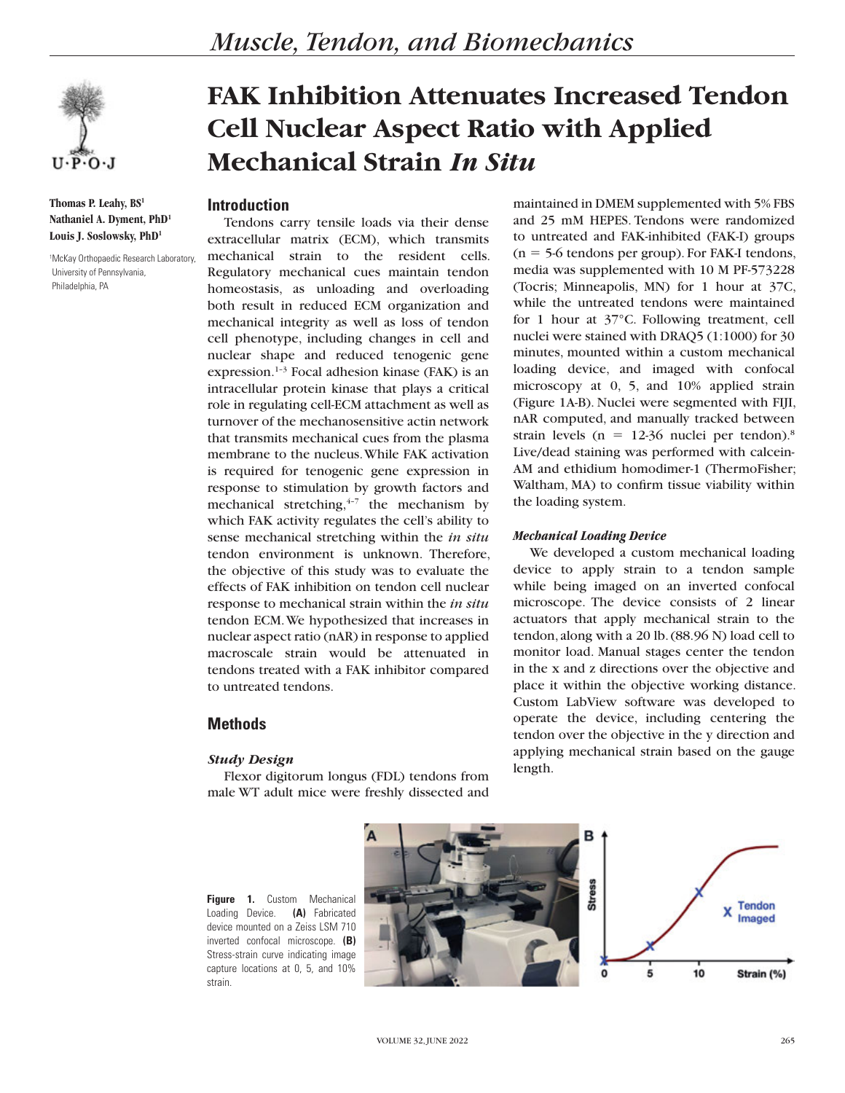

**Thomas P. Leahy, BS1 Nathaniel A. Dyment, PhD1 Louis J. Soslowsky, PhD1**

1 McKay Orthopaedic Research Laboratory, University of Pennsylvania, Philadelphia, PA

## *Muscle, Tendon, and Biomechanics*

# **FAK Inhibition Attenuates Increased Tendon Cell Nuclear Aspect Ratio with Applied Mechanical Strain** *In Situ*

### **Introduction**

Tendons carry tensile loads via their dense extracellular matrix (ECM), which transmits mechanical strain to the resident cells. Regulatory mechanical cues maintain tendon homeostasis, as unloading and overloading both result in reduced ECM organization and mechanical integrity as well as loss of tendon cell phenotype, including changes in cell and nuclear shape and reduced tenogenic gene expression.<sup>1-3</sup> Focal adhesion kinase (FAK) is an intracellular protein kinase that plays a critical role in regulating cell-ECM attachment as well as turnover of the mechanosensitive actin network that transmits mechanical cues from the plasma membrane to the nucleus. While FAK activation is required for tenogenic gene expression in response to stimulation by growth factors and mechanical stretching, $4-7$  the mechanism by which FAK activity regulates the cell's ability to sense mechanical stretching within the *in situ* tendon environment is unknown. Therefore, the objective of this study was to evaluate the effects of FAK inhibition on tendon cell nuclear response to mechanical strain within the *in situ* tendon ECM. We hypothesized that increases in nuclear aspect ratio (nAR) in response to applied macroscale strain would be attenuated in tendons treated with a FAK inhibitor compared to untreated tendons.

## **Methods**

#### *Study Design*

Flexor digitorum longus (FDL) tendons from male WT adult mice were freshly dissected and

maintained in DMEM supplemented with 5% FBS and 25 mM HEPES. Tendons were randomized to untreated and FAK-inhibited (FAK-I) groups  $(n = 5.6$  tendons per group). For FAK-I tendons, media was supplemented with 10 M PF-573228 (Tocris; Minneapolis, MN) for 1 hour at 37C, while the untreated tendons were maintained for 1 hour at 37°C. Following treatment, cell nuclei were stained with DRAQ5 (1:1000) for 30 minutes, mounted within a custom mechanical loading device, and imaged with confocal microscopy at 0, 5, and 10% applied strain (Figure 1A-B). Nuclei were segmented with FIJI, nAR computed, and manually tracked between strain levels ( $n = 12-36$  nuclei per tendon).<sup>8</sup> Live/dead staining was performed with calcein-AM and ethidium homodimer-1 (ThermoFisher; Waltham, MA) to confirm tissue viability within the loading system.

#### *Mechanical Loading Device*

We developed a custom mechanical loading device to apply strain to a tendon sample while being imaged on an inverted confocal microscope. The device consists of 2 linear actuators that apply mechanical strain to the tendon, along with a 20 lb. (88.96 N) load cell to monitor load. Manual stages center the tendon in the x and z directions over the objective and place it within the objective working distance. Custom LabView software was developed to operate the device, including centering the tendon over the objective in the y direction and applying mechanical strain based on the gauge length.

**Figure 1.** Custom Mechanical Loading Device. **(A)** Fabricated device mounted on a Zeiss LSM 710 inverted confocal microscope. **(B)** Stress-strain curve indicating image capture locations at 0, 5, and 10% strain.

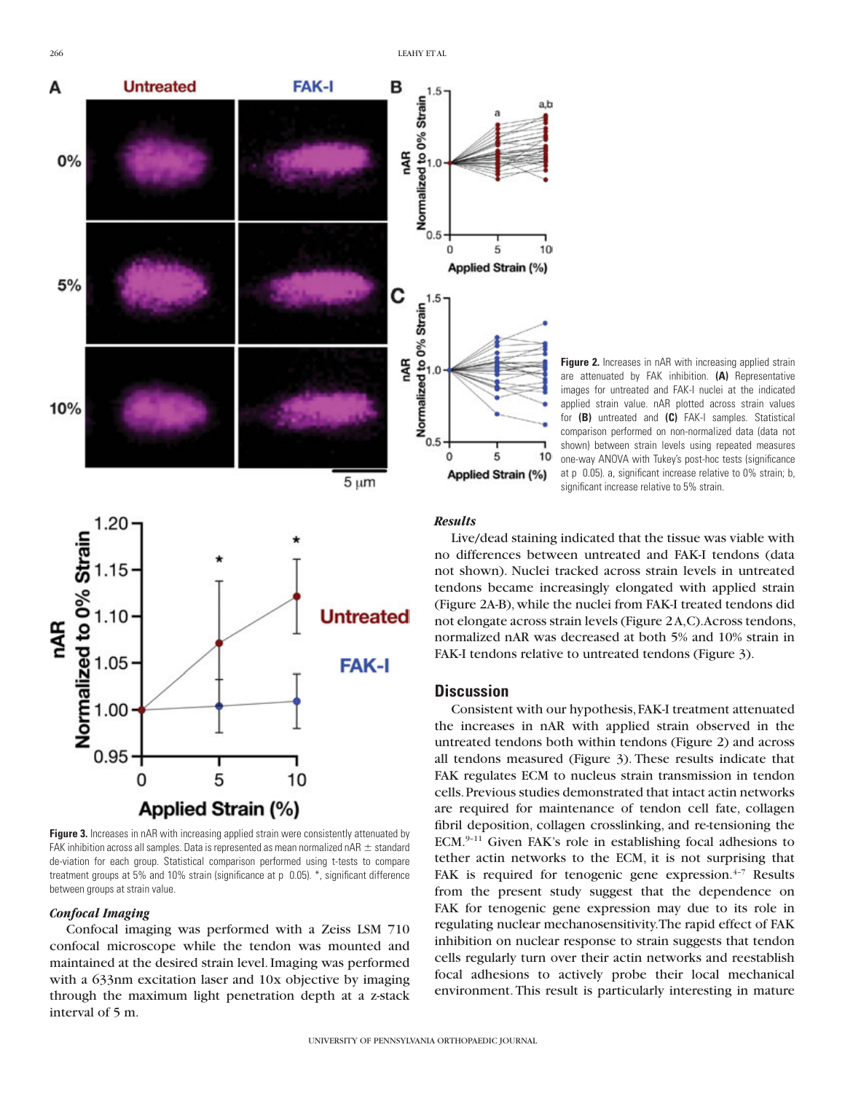





**Figure 3.** Increases in nAR with increasing applied strain were consistently attenuated by FAK inhibition across all samples. Data is represented as mean normalized nAR  $\pm$  standard de-viation for each group. Statistical comparison performed using t-tests to compare treatment groups at 5% and 10% strain (significance at p 0.05). \*, significant difference between groups at strain value.

#### *Confocal Imaging*

Confocal imaging was performed with a Zeiss LSM 710 confocal microscope while the tendon was mounted and maintained at the desired strain level. Imaging was performed with a 633nm excitation laser and 10x objective by imaging through the maximum light penetration depth at a z-stack interval of 5 m.

#### *Results*

Live/dead staining indicated that the tissue was viable with no differences between untreated and FAK-I tendons (data not shown). Nuclei tracked across strain levels in untreated tendons became increasingly elongated with applied strain (Figure 2A-B), while the nuclei from FAK-I treated tendons did not elongate across strain levels (Figure 2 A,C). Across tendons, normalized nAR was decreased at both 5% and 10% strain in FAK-I tendons relative to untreated tendons (Figure 3).

#### **Discussion**

Consistent with our hypothesis, FAK-I treatment attenuated the increases in nAR with applied strain observed in the untreated tendons both within tendons (Figure 2) and across all tendons measured (Figure 3). These results indicate that FAK regulates ECM to nucleus strain transmission in tendon cells. Previous studies demonstrated that intact actin networks are required for maintenance of tendon cell fate, collagen fibril deposition, collagen crosslinking, and re-tensioning the ECM.9–11 Given FAK's role in establishing focal adhesions to tether actin networks to the ECM, it is not surprising that FAK is required for tenogenic gene expression. $4-7$  Results from the present study suggest that the dependence on FAK for tenogenic gene expression may due to its role in regulating nuclear mechanosensitivity. The rapid effect of FAK inhibition on nuclear response to strain suggests that tendon cells regularly turn over their actin networks and reestablish focal adhesions to actively probe their local mechanical environment. This result is particularly interesting in mature